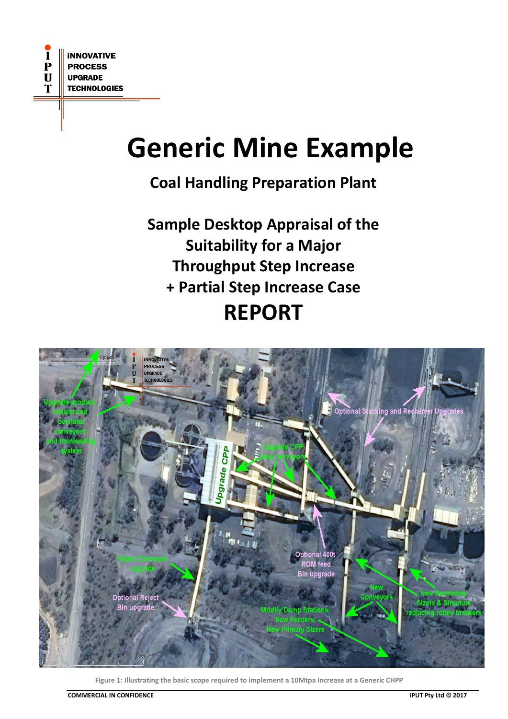# **Generic Mine Example**

# **Coal Handling Preparation Plant**

**Sample Desktop Appraisal of the Suitability for a Major Throughput Step Increase + Partial Step Increase Case REPORT**



**Figure 1: Illustrating the basic scope required to implement a 10Mtpa Increase at a Generic CHPP**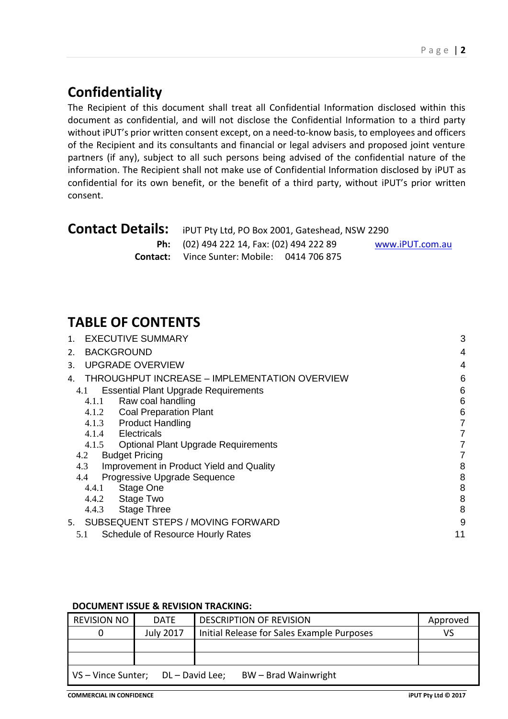# **Confidentiality**

The Recipient of this document shall treat all Confidential Information disclosed within this document as confidential, and will not disclose the Confidential Information to a third party without iPUT's prior written consent except, on a need-to-know basis, to employees and officers of the Recipient and its consultants and financial or legal advisers and proposed joint venture partners (if any), subject to all such persons being advised of the confidential nature of the information. The Recipient shall not make use of Confidential Information disclosed by iPUT as confidential for its own benefit, or the benefit of a third party, without iPUT's prior written consent.

| <b>Contact Details:</b> iPUT Pty Ltd, PO Box 2001, Gateshead, NSW 2290 |                 |  |
|------------------------------------------------------------------------|-----------------|--|
| <b>Ph:</b> (02) 494 222 14, Fax: (02) 494 222 89                       | www.iPUT.com.au |  |
| <b>Contact:</b> Vince Sunter: Mobile: 0414 706 875                     |                 |  |

# **TABLE OF CONTENTS**

| <b>EXECUTIVE SUMMARY</b><br>$\mathbf{1}$ .          | 3  |
|-----------------------------------------------------|----|
| <b>BACKGROUND</b><br>2.                             | 4  |
| <b>UPGRADE OVERVIEW</b><br>3.                       | 4  |
| THROUGHPUT INCREASE - IMPLEMENTATION OVERVIEW<br>4. | 6  |
| <b>Essential Plant Upgrade Requirements</b><br>4.1  | 6  |
| Raw coal handling<br>4.1.1                          | 6  |
| 4.1.2 Coal Preparation Plant                        | 6  |
| <b>Product Handling</b><br>4.1.3                    | 7  |
| Electricals<br>4.1.4                                | 7  |
| 4.1.5<br><b>Optional Plant Upgrade Requirements</b> | 7  |
| <b>Budget Pricing</b><br>4.2                        | 7  |
| Improvement in Product Yield and Quality<br>4.3     | 8  |
| Progressive Upgrade Sequence<br>4.4                 | 8  |
| Stage One<br>4.4.1                                  | 8  |
| Stage Two<br>4.4.2                                  | 8  |
| <b>Stage Three</b><br>4.4.3                         | 8  |
| <b>SUBSEQUENT STEPS / MOVING FORWARD</b><br>5.      | 9  |
| Schedule of Resource Hourly Rates<br>5.1            | 11 |

#### **DOCUMENT ISSUE & REVISION TRACKING:**

| <b>REVISION NO</b>                                            | <b>DATE</b>      | <b>DESCRIPTION OF REVISION</b>             | Approved |  |
|---------------------------------------------------------------|------------------|--------------------------------------------|----------|--|
|                                                               | <b>July 2017</b> | Initial Release for Sales Example Purposes | VS       |  |
|                                                               |                  |                                            |          |  |
|                                                               |                  |                                            |          |  |
| BW - Brad Wainwright<br>DL - David Lee;<br>VS - Vince Sunter; |                  |                                            |          |  |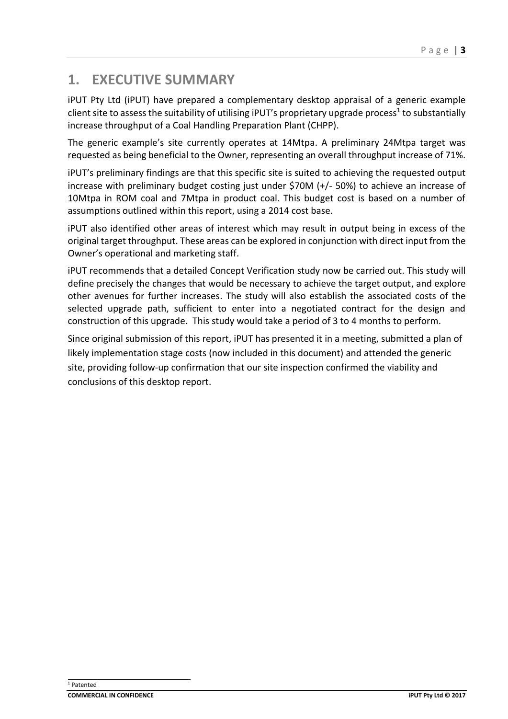# <span id="page-2-0"></span>**1. EXECUTIVE SUMMARY**

iPUT Pty Ltd (iPUT) have prepared a complementary desktop appraisal of a generic example client site to assess the suitability of utilising iPUT's proprietary upgrade process<sup>1</sup> to substantially increase throughput of a Coal Handling Preparation Plant (CHPP).

The generic example's site currently operates at 14Mtpa. A preliminary 24Mtpa target was requested as being beneficial to the Owner, representing an overall throughput increase of 71%.

iPUT's preliminary findings are that this specific site is suited to achieving the requested output increase with preliminary budget costing just under \$70M (+/- 50%) to achieve an increase of 10Mtpa in ROM coal and 7Mtpa in product coal. This budget cost is based on a number of assumptions outlined within this report, using a 2014 cost base.

iPUT also identified other areas of interest which may result in output being in excess of the original target throughput. These areas can be explored in conjunction with direct input from the Owner's operational and marketing staff.

iPUT recommends that a detailed Concept Verification study now be carried out. This study will define precisely the changes that would be necessary to achieve the target output, and explore other avenues for further increases. The study will also establish the associated costs of the selected upgrade path, sufficient to enter into a negotiated contract for the design and construction of this upgrade. This study would take a period of 3 to 4 months to perform.

Since original submission of this report, iPUT has presented it in a meeting, submitted a plan of likely implementation stage costs (now included in this document) and attended the generic site, providing follow-up confirmation that our site inspection confirmed the viability and conclusions of this desktop report.

ł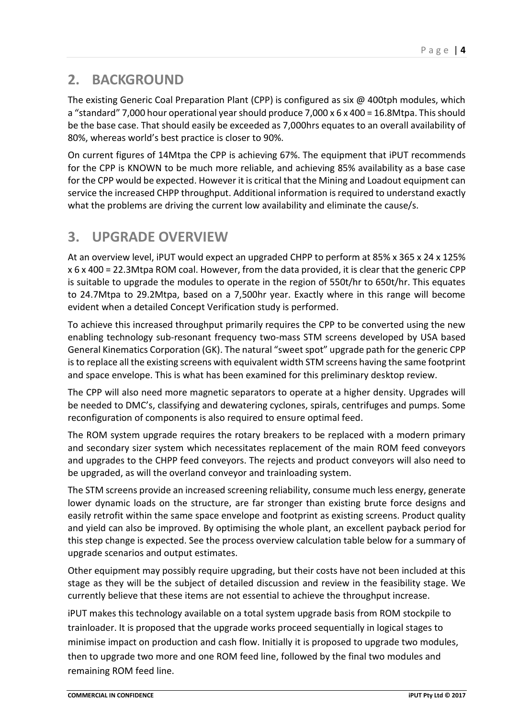# <span id="page-3-0"></span>**2. BACKGROUND**

The existing Generic Coal Preparation Plant (CPP) is configured as six  $\omega$  400tph modules, which a "standard" 7,000 hour operational year should produce 7,000 x 6 x 400 = 16.8Mtpa. This should be the base case. That should easily be exceeded as 7,000hrs equates to an overall availability of 80%, whereas world's best practice is closer to 90%.

On current figures of 14Mtpa the CPP is achieving 67%. The equipment that iPUT recommends for the CPP is KNOWN to be much more reliable, and achieving 85% availability as a base case for the CPP would be expected. However it is critical that the Mining and Loadout equipment can service the increased CHPP throughput. Additional information is required to understand exactly what the problems are driving the current low availability and eliminate the cause/s.

## <span id="page-3-1"></span>**3. UPGRADE OVERVIEW**

At an overview level, iPUT would expect an upgraded CHPP to perform at 85% x 365 x 24 x 125% x 6 x 400 = 22.3Mtpa ROM coal. However, from the data provided, it is clear that the generic CPP is suitable to upgrade the modules to operate in the region of 550t/hr to 650t/hr. This equates to 24.7Mtpa to 29.2Mtpa, based on a 7,500hr year. Exactly where in this range will become evident when a detailed Concept Verification study is performed.

To achieve this increased throughput primarily requires the CPP to be converted using the new enabling technology sub-resonant frequency two-mass STM screens developed by USA based General Kinematics Corporation (GK). The natural "sweet spot" upgrade path for the generic CPP is to replace all the existing screens with equivalent width STM screens having the same footprint and space envelope. This is what has been examined for this preliminary desktop review.

The CPP will also need more magnetic separators to operate at a higher density. Upgrades will be needed to DMC's, classifying and dewatering cyclones, spirals, centrifuges and pumps. Some reconfiguration of components is also required to ensure optimal feed.

The ROM system upgrade requires the rotary breakers to be replaced with a modern primary and secondary sizer system which necessitates replacement of the main ROM feed conveyors and upgrades to the CHPP feed conveyors. The rejects and product conveyors will also need to be upgraded, as will the overland conveyor and trainloading system.

The STM screens provide an increased screening reliability, consume much less energy, generate lower dynamic loads on the structure, are far stronger than existing brute force designs and easily retrofit within the same space envelope and footprint as existing screens. Product quality and yield can also be improved. By optimising the whole plant, an excellent payback period for this step change is expected. See the process overview calculation table below for a summary of upgrade scenarios and output estimates.

Other equipment may possibly require upgrading, but their costs have not been included at this stage as they will be the subject of detailed discussion and review in the feasibility stage. We currently believe that these items are not essential to achieve the throughput increase.

iPUT makes this technology available on a total system upgrade basis from ROM stockpile to trainloader. It is proposed that the upgrade works proceed sequentially in logical stages to minimise impact on production and cash flow. Initially it is proposed to upgrade two modules, then to upgrade two more and one ROM feed line, followed by the final two modules and remaining ROM feed line.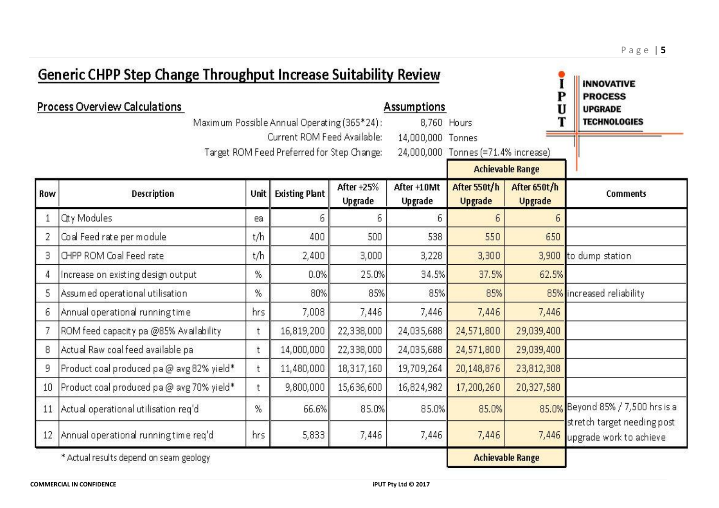| <b>Generic CHPP Step Change Throughput Increase Suitability Review</b> |                                           |              |                                             |                       | <b>INNOVATIVE</b>             |                                     |                                |                                                        |
|------------------------------------------------------------------------|-------------------------------------------|--------------|---------------------------------------------|-----------------------|-------------------------------|-------------------------------------|--------------------------------|--------------------------------------------------------|
|                                                                        | Process Overview Calculations             |              |                                             |                       | <b>Assumptions</b>            |                                     | P<br>U                         | <b>PROCESS</b><br><b>UPGRADE</b>                       |
|                                                                        |                                           |              | Maximum Possible Annual Operating (365*24): |                       |                               | 8,760 Hours                         |                                | <b>TECHNOLOGIES</b>                                    |
|                                                                        |                                           |              | Current ROM Feed Available:                 |                       | 14,000,000 Tonnes             |                                     |                                |                                                        |
|                                                                        |                                           |              | Target ROM Feed Preferred for Step Change:  |                       |                               | 24,000,000 Tonnes (=71.4% increase) |                                |                                                        |
|                                                                        |                                           |              |                                             |                       |                               |                                     | <b>Achievable Range</b>        |                                                        |
| Row                                                                    | Description                               | Unit         | <b>Existing Plant</b>                       | After +25%<br>Upgrade | After +10Mt<br><b>Upgrade</b> | After 550t/h<br><b>Upgrade</b>      | After 650t/h<br><b>Upgrade</b> | <b>Comments</b>                                        |
|                                                                        | Qty Modules                               | ea.          | 6                                           | 6                     | $6 \overline{6}$              | 6                                   | $\sqrt{6}$                     |                                                        |
| 2                                                                      | Coal Feed rate per module                 | t/h          | 400                                         | 500                   | 538                           | 550                                 | 650                            |                                                        |
| 3                                                                      | CHPP ROM Coal Feed rate                   | t/h          | 2,400                                       | 3,000                 | 3,228                         | 3,300                               | 3,900                          | to dump station                                        |
| 4                                                                      | Increase on existing design output        | %            | 0.0%                                        | 25.0%                 | 34.5%                         | 37.5%                               | 62.5%                          |                                                        |
| 5                                                                      | Assumed operational utilisation           | %            | 80%                                         | 85%                   | 85%                           | 85%                                 |                                | 85% increased reliability                              |
| 6                                                                      | Annual operational running time           | hrs          | 7,008                                       | 7,446                 | 7,446                         | 7,446                               | 7,446                          |                                                        |
|                                                                        | ROM feed capacity pa @85% Availability    | t            | 16,819,200                                  | 22,338,000            | 24,035,688                    | 24,571,800                          | 29,039,400                     |                                                        |
| 8                                                                      | Actual Raw coal feed available pa         | t            | 14,000,000                                  | 22,338,000            | 24,035,688                    | 24,571,800                          | 29,039,400                     |                                                        |
| 9                                                                      | Product coal produced pa @ avg 82% yield* | t            | 11,480,000                                  | 18,317,160            | 19,709,264                    | 20,148,876                          | 23,812,308                     |                                                        |
| 10                                                                     | Product coal produced pa @ avg 70% yield* | $^{\dagger}$ | 9,800,000                                   | 15,636,600            | 16,824,982                    | 17,200,260                          | 20,327,580                     |                                                        |
|                                                                        | 11 Actual operational utilisation reg'd   | %            | 66.6%                                       | 85.0%                 | 85.0%                         | 85.0%                               |                                | 85.0% Beyond 85% / 7,500 hrs is a                      |
|                                                                        | 12 Annual operational running time req'd  | hrs          | 5,833                                       | 7,446                 | 7,446                         | 7,446                               | 7,446                          | stretch target needing post<br>upgrade work to achieve |
|                                                                        | * Actual results depend on seam geology   |              |                                             |                       |                               |                                     | <b>Achievable Range</b>        |                                                        |

P a g e | **5**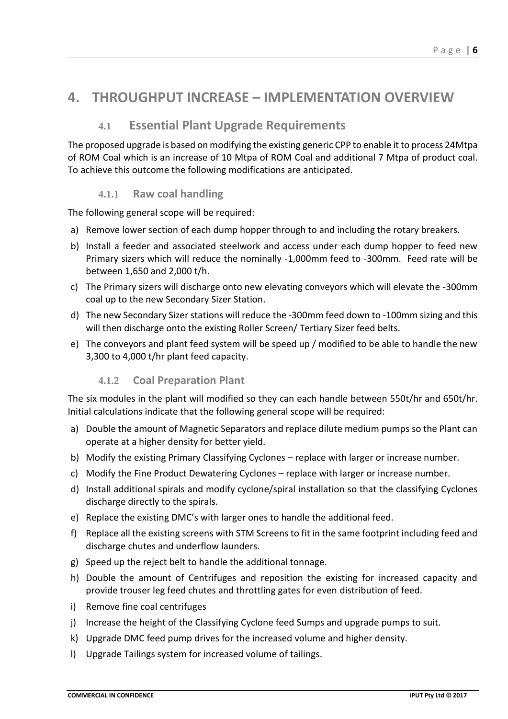### <span id="page-5-1"></span><span id="page-5-0"></span>**4. THROUGHPUT INCREASE – IMPLEMENTATION OVERVIEW**

#### **4.1 Essential Plant Upgrade Requirements**

The proposed upgrade is based on modifying the existing generic CPP to enable it to process 24Mtpa of ROM Coal which is an increase of 10 Mtpa of ROM Coal and additional 7 Mtpa of product coal. To achieve this outcome the following modifications are anticipated.

#### **4.1.1 Raw coal handling**

<span id="page-5-2"></span>The following general scope will be required:

- a) Remove lower section of each dump hopper through to and including the rotary breakers.
- b) Install a feeder and associated steelwork and access under each dump hopper to feed new Primary sizers which will reduce the nominally -1,000mm feed to -300mm. Feed rate will be between 1,650 and 2,000 t/h.
- c) The Primary sizers will discharge onto new elevating conveyors which will elevate the -300mm coal up to the new Secondary Sizer Station.
- d) The new Secondary Sizer stations will reduce the -300mm feed down to -100mm sizing and this will then discharge onto the existing Roller Screen/ Tertiary Sizer feed belts.
- <span id="page-5-3"></span>e) The conveyors and plant feed system will be speed up / modified to be able to handle the new 3,300 to 4,000 t/hr plant feed capacity.

#### **4.1.2 Coal Preparation Plant**

The six modules in the plant will modified so they can each handle between 550t/hr and 650t/hr. Initial calculations indicate that the following general scope will be required:

- a) Double the amount of Magnetic Separators and replace dilute medium pumps so the Plant can operate at a higher density for better yield.
- b) Modify the existing Primary Classifying Cyclones replace with larger or increase number.
- c) Modify the Fine Product Dewatering Cyclones replace with larger or increase number.
- d) Install additional spirals and modify cyclone/spiral installation so that the classifying Cyclones discharge directly to the spirals.
- e) Replace the existing DMC's with larger ones to handle the additional feed.
- f) Replace all the existing screens with STM Screens to fit in the same footprint including feed and discharge chutes and underflow launders.
- g) Speed up the reject belt to handle the additional tonnage.
- h) Double the amount of Centrifuges and reposition the existing for increased capacity and provide trouser leg feed chutes and throttling gates for even distribution of feed.
- i) Remove fine coal centrifuges
- j) Increase the height of the Classifying Cyclone feed Sumps and upgrade pumps to suit.
- k) Upgrade DMC feed pump drives for the increased volume and higher density.
- l) Upgrade Tailings system for increased volume of tailings.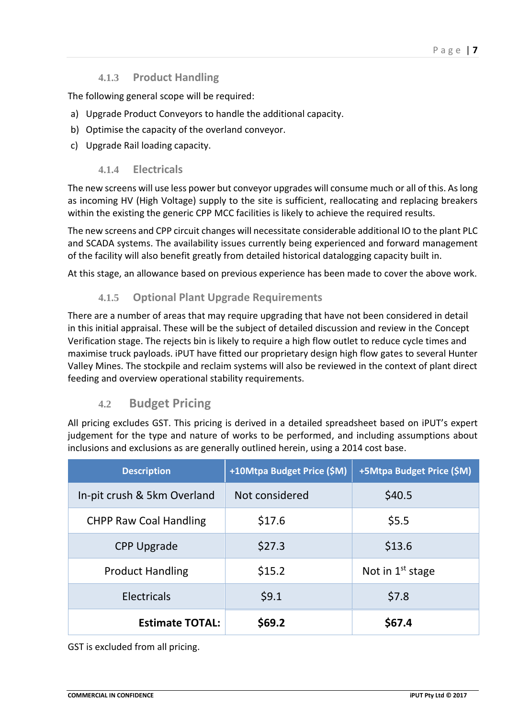#### P a g e | **7**

#### **4.1.3 Product Handling**

<span id="page-6-0"></span>The following general scope will be required:

- a) Upgrade Product Conveyors to handle the additional capacity.
- b) Optimise the capacity of the overland conveyor.
- <span id="page-6-1"></span>c) Upgrade Rail loading capacity.

#### **4.1.4 Electricals**

The new screens will use less power but conveyor upgrades will consume much or all of this. As long as incoming HV (High Voltage) supply to the site is sufficient, reallocating and replacing breakers within the existing the generic CPP MCC facilities is likely to achieve the required results.

The new screens and CPP circuit changes will necessitate considerable additional IO to the plant PLC and SCADA systems. The availability issues currently being experienced and forward management of the facility will also benefit greatly from detailed historical datalogging capacity built in.

<span id="page-6-2"></span>At this stage, an allowance based on previous experience has been made to cover the above work.

#### **4.1.5 Optional Plant Upgrade Requirements**

There are a number of areas that may require upgrading that have not been considered in detail in this initial appraisal. These will be the subject of detailed discussion and review in the Concept Verification stage. The rejects bin is likely to require a high flow outlet to reduce cycle times and maximise truck payloads. iPUT have fitted our proprietary design high flow gates to several Hunter Valley Mines. The stockpile and reclaim systems will also be reviewed in the context of plant direct feeding and overview operational stability requirements.

#### **4.2 Budget Pricing**

<span id="page-6-3"></span>All pricing excludes GST. This pricing is derived in a detailed spreadsheet based on iPUT's expert judgement for the type and nature of works to be performed, and including assumptions about inclusions and exclusions as are generally outlined herein, using a 2014 cost base.

| <b>Description</b>            | +10Mtpa Budget Price (\$M) | +5Mtpa Budget Price (\$M) |
|-------------------------------|----------------------------|---------------------------|
| In-pit crush & 5km Overland   | Not considered             | \$40.5                    |
| <b>CHPP Raw Coal Handling</b> | \$17.6                     | \$5.5                     |
| <b>CPP Upgrade</b>            | \$27.3                     | \$13.6                    |
| <b>Product Handling</b>       | \$15.2                     | Not in $1st$ stage        |
| <b>Electricals</b>            | \$9.1                      | \$7.8                     |
| <b>Estimate TOTAL:</b>        | \$69.2                     | \$67.4                    |

GST is excluded from all pricing.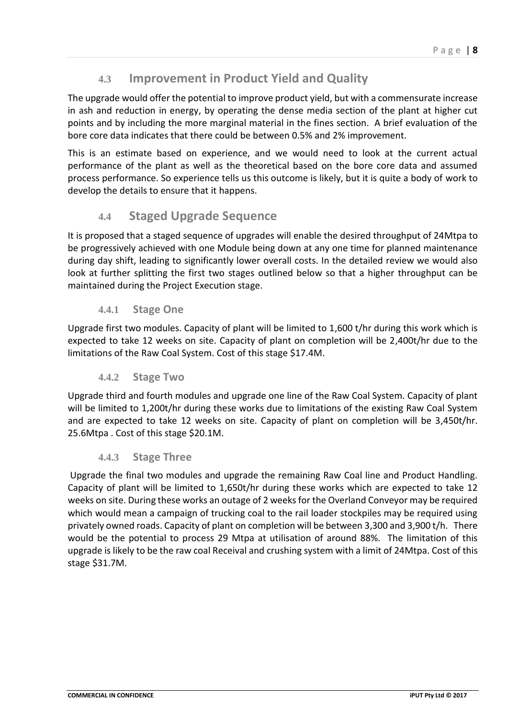#### **4.3 Improvement in Product Yield and Quality**

<span id="page-7-0"></span>The upgrade would offer the potential to improve product yield, but with a commensurate increase in ash and reduction in energy, by operating the dense media section of the plant at higher cut points and by including the more marginal material in the fines section. A brief evaluation of the bore core data indicates that there could be between 0.5% and 2% improvement.

This is an estimate based on experience, and we would need to look at the current actual performance of the plant as well as the theoretical based on the bore core data and assumed process performance. So experience tells us this outcome is likely, but it is quite a body of work to develop the details to ensure that it happens.

#### **4.4 Staged Upgrade Sequence**

<span id="page-7-1"></span>It is proposed that a staged sequence of upgrades will enable the desired throughput of 24Mtpa to be progressively achieved with one Module being down at any one time for planned maintenance during day shift, leading to significantly lower overall costs. In the detailed review we would also look at further splitting the first two stages outlined below so that a higher throughput can be maintained during the Project Execution stage.

#### **4.4.1 Stage One**

<span id="page-7-2"></span>Upgrade first two modules. Capacity of plant will be limited to 1,600 t/hr during this work which is expected to take 12 weeks on site. Capacity of plant on completion will be 2,400t/hr due to the limitations of the Raw Coal System. Cost of this stage \$17.4M.

#### **4.4.2 Stage Two**

<span id="page-7-3"></span>Upgrade third and fourth modules and upgrade one line of the Raw Coal System. Capacity of plant will be limited to 1,200t/hr during these works due to limitations of the existing Raw Coal System and are expected to take 12 weeks on site. Capacity of plant on completion will be 3,450t/hr. 25.6Mtpa . Cost of this stage \$20.1M.

#### **4.4.3 Stage Three**

<span id="page-7-4"></span>Upgrade the final two modules and upgrade the remaining Raw Coal line and Product Handling. Capacity of plant will be limited to 1,650t/hr during these works which are expected to take 12 weeks on site. During these works an outage of 2 weeks for the Overland Conveyor may be required which would mean a campaign of trucking coal to the rail loader stockpiles may be required using privately owned roads. Capacity of plant on completion will be between 3,300 and 3,900 t/h. There would be the potential to process 29 Mtpa at utilisation of around 88%. The limitation of this upgrade is likely to be the raw coal Receival and crushing system with a limit of 24Mtpa. Cost of this stage \$31.7M.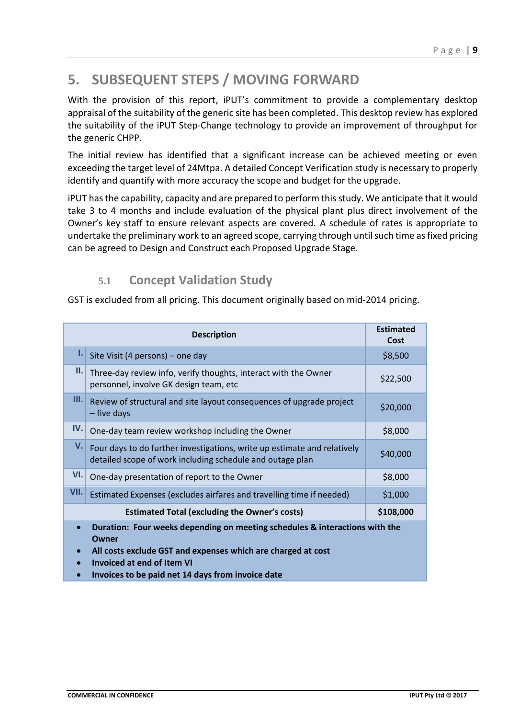# <span id="page-8-0"></span>**5. SUBSEQUENT STEPS / MOVING FORWARD**

With the provision of this report, iPUT's commitment to provide a complementary desktop appraisal of the suitability of the generic site has been completed. This desktop review has explored the suitability of the iPUT Step-Change technology to provide an improvement of throughput for the generic CHPP.

The initial review has identified that a significant increase can be achieved meeting or even exceeding the target level of 24Mtpa. A detailed Concept Verification study is necessary to properly identify and quantify with more accuracy the scope and budget for the upgrade.

iPUT hasthe capability, capacity and are prepared to perform this study. We anticipate that it would take 3 to 4 months and include evaluation of the physical plant plus direct involvement of the Owner's key staff to ensure relevant aspects are covered. A schedule of rates is appropriate to undertake the preliminary work to an agreed scope, carrying through until such time as fixed pricing can be agreed to Design and Construct each Proposed Upgrade Stage.

### **5.1 Concept Validation Study**

GST is excluded from all pricing. This document originally based on mid-2014 pricing.

|                                                                                                                                                                                                                                                      | <b>Estimated</b><br>Cost                                                                                                              |          |  |  |
|------------------------------------------------------------------------------------------------------------------------------------------------------------------------------------------------------------------------------------------------------|---------------------------------------------------------------------------------------------------------------------------------------|----------|--|--|
| ı.                                                                                                                                                                                                                                                   | Site Visit (4 persons) - one day                                                                                                      | \$8,500  |  |  |
| Ш.                                                                                                                                                                                                                                                   | Three-day review info, verify thoughts, interact with the Owner<br>personnel, involve GK design team, etc                             | \$22,500 |  |  |
| III.                                                                                                                                                                                                                                                 | Review of structural and site layout consequences of upgrade project<br>- five days                                                   | \$20,000 |  |  |
| IV.                                                                                                                                                                                                                                                  | One-day team review workshop including the Owner                                                                                      | \$8,000  |  |  |
| V.                                                                                                                                                                                                                                                   | Four days to do further investigations, write up estimate and relatively<br>detailed scope of work including schedule and outage plan | \$40,000 |  |  |
| VI.                                                                                                                                                                                                                                                  | One-day presentation of report to the Owner                                                                                           | \$8,000  |  |  |
| VII.                                                                                                                                                                                                                                                 | Estimated Expenses (excludes airfares and travelling time if needed)                                                                  | \$1,000  |  |  |
| \$108,000<br><b>Estimated Total (excluding the Owner's costs)</b>                                                                                                                                                                                    |                                                                                                                                       |          |  |  |
| Duration: Four weeks depending on meeting schedules & interactions with the<br>Owner<br>All costs exclude GST and expenses which are charged at cost<br>$\bullet$<br>Invoiced at end of Item VI<br>Invoices to be paid net 14 days from invoice date |                                                                                                                                       |          |  |  |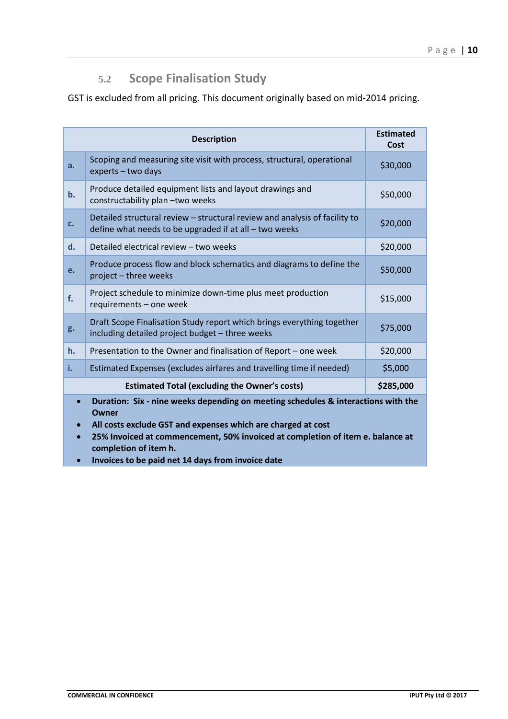### **5.2 Scope Finalisation Study**

GST is excluded from all pricing. This document originally based on mid-2014 pricing.

|                                                                                            | <b>Estimated</b><br>Cost                                                                                                             |          |
|--------------------------------------------------------------------------------------------|--------------------------------------------------------------------------------------------------------------------------------------|----------|
| a.                                                                                         | Scoping and measuring site visit with process, structural, operational<br>experts - two days                                         | \$30,000 |
| b.                                                                                         | Produce detailed equipment lists and layout drawings and<br>constructability plan - two weeks                                        | \$50,000 |
| c.                                                                                         | Detailed structural review – structural review and analysis of facility to<br>define what needs to be upgraded if at all - two weeks | \$20,000 |
| d.                                                                                         | Detailed electrical review - two weeks                                                                                               | \$20,000 |
| e.                                                                                         | Produce process flow and block schematics and diagrams to define the<br>project - three weeks                                        | \$50,000 |
| f.                                                                                         | Project schedule to minimize down-time plus meet production<br>requirements - one week                                               | \$15,000 |
| g.                                                                                         | Draft Scope Finalisation Study report which brings everything together<br>including detailed project budget - three weeks            | \$75,000 |
| h.                                                                                         | Presentation to the Owner and finalisation of Report - one week                                                                      | \$20,000 |
| i.                                                                                         | Estimated Expenses (excludes airfares and travelling time if needed)                                                                 | \$5,000  |
|                                                                                            | \$285,000                                                                                                                            |          |
| Duration: Six - nine weeks depending on meeting schedules & interactions with the<br>Owner |                                                                                                                                      |          |

**All costs exclude GST and expenses which are charged at cost** 

 **25% Invoiced at commencement, 50% invoiced at completion of item e. balance at completion of item h.**

**Invoices to be paid net 14 days from invoice date**